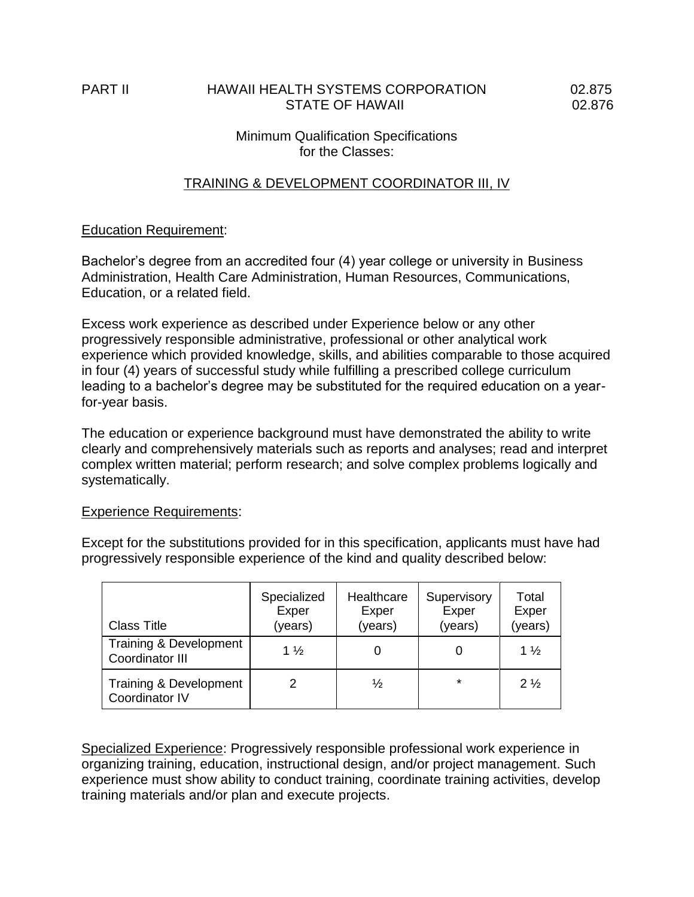## PART II HAWAII HEALTH SYSTEMS CORPORATION 02.875 STATE OF HAWAII 02.876

# Minimum Qualification Specifications for the Classes:

# TRAINING & DEVELOPMENT COORDINATOR III, IV

#### Education Requirement:

Bachelor's degree from an accredited four (4) year college or university in Business Administration, Health Care Administration, Human Resources, Communications, Education, or a related field.

Excess work experience as described under Experience below or any other progressively responsible administrative, professional or other analytical work experience which provided knowledge, skills, and abilities comparable to those acquired in four (4) years of successful study while fulfilling a prescribed college curriculum leading to a bachelor's degree may be substituted for the required education on a yearfor-year basis.

The education or experience background must have demonstrated the ability to write clearly and comprehensively materials such as reports and analyses; read and interpret complex written material; perform research; and solve complex problems logically and systematically.

#### **Experience Requirements:**

Except for the substitutions provided for in this specification, applicants must have had progressively responsible experience of the kind and quality described below:

| <b>Class Title</b>                        | Specialized<br>Exper<br>(years) | Healthcare<br>Exper<br>(years) | Supervisory<br>Exper<br>(years) | Total<br>Exper<br>(years) |
|-------------------------------------------|---------------------------------|--------------------------------|---------------------------------|---------------------------|
| Training & Development<br>Coordinator III | $1\frac{1}{2}$                  |                                |                                 | $1\frac{1}{2}$            |
| Training & Development<br>Coordinator IV  |                                 | $\frac{1}{2}$                  | $\star$                         | $2\frac{1}{2}$            |

Specialized Experience: Progressively responsible professional work experience in organizing training, education, instructional design, and/or project management. Such experience must show ability to conduct training, coordinate training activities, develop training materials and/or plan and execute projects.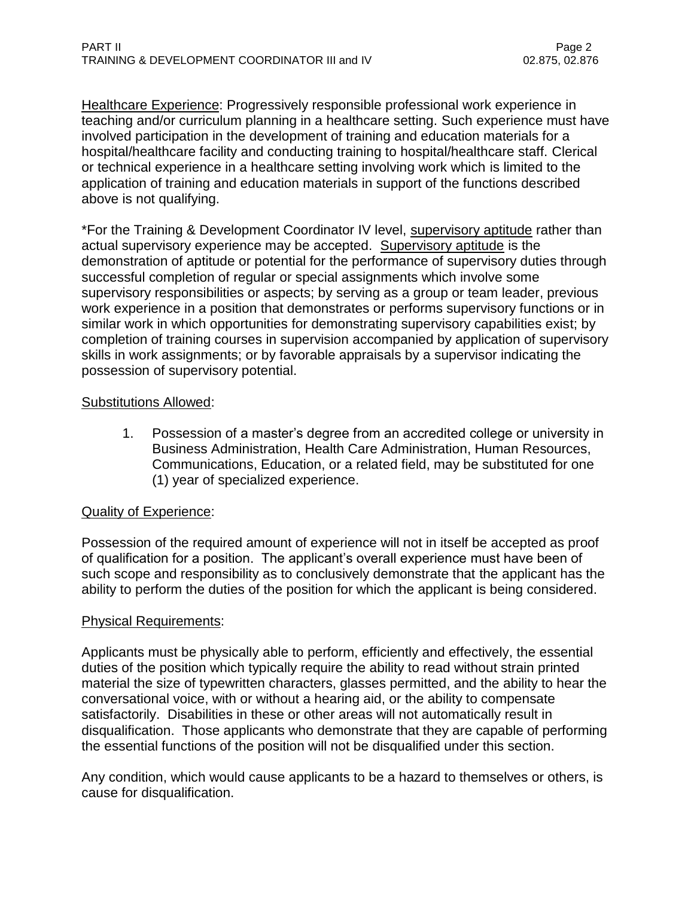Healthcare Experience: Progressively responsible professional work experience in teaching and/or curriculum planning in a healthcare setting. Such experience must have involved participation in the development of training and education materials for a hospital/healthcare facility and conducting training to hospital/healthcare staff. Clerical or technical experience in a healthcare setting involving work which is limited to the application of training and education materials in support of the functions described above is not qualifying.

\*For the Training & Development Coordinator IV level, supervisory aptitude rather than actual supervisory experience may be accepted. Supervisory aptitude is the demonstration of aptitude or potential for the performance of supervisory duties through successful completion of regular or special assignments which involve some supervisory responsibilities or aspects; by serving as a group or team leader, previous work experience in a position that demonstrates or performs supervisory functions or in similar work in which opportunities for demonstrating supervisory capabilities exist; by completion of training courses in supervision accompanied by application of supervisory skills in work assignments; or by favorable appraisals by a supervisor indicating the possession of supervisory potential.

## Substitutions Allowed:

1. Possession of a master's degree from an accredited college or university in Business Administration, Health Care Administration, Human Resources, Communications, Education, or a related field, may be substituted for one (1) year of specialized experience.

# Quality of Experience:

Possession of the required amount of experience will not in itself be accepted as proof of qualification for a position. The applicant's overall experience must have been of such scope and responsibility as to conclusively demonstrate that the applicant has the ability to perform the duties of the position for which the applicant is being considered.

#### Physical Requirements:

Applicants must be physically able to perform, efficiently and effectively, the essential duties of the position which typically require the ability to read without strain printed material the size of typewritten characters, glasses permitted, and the ability to hear the conversational voice, with or without a hearing aid, or the ability to compensate satisfactorily. Disabilities in these or other areas will not automatically result in disqualification. Those applicants who demonstrate that they are capable of performing the essential functions of the position will not be disqualified under this section.

Any condition, which would cause applicants to be a hazard to themselves or others, is cause for disqualification.